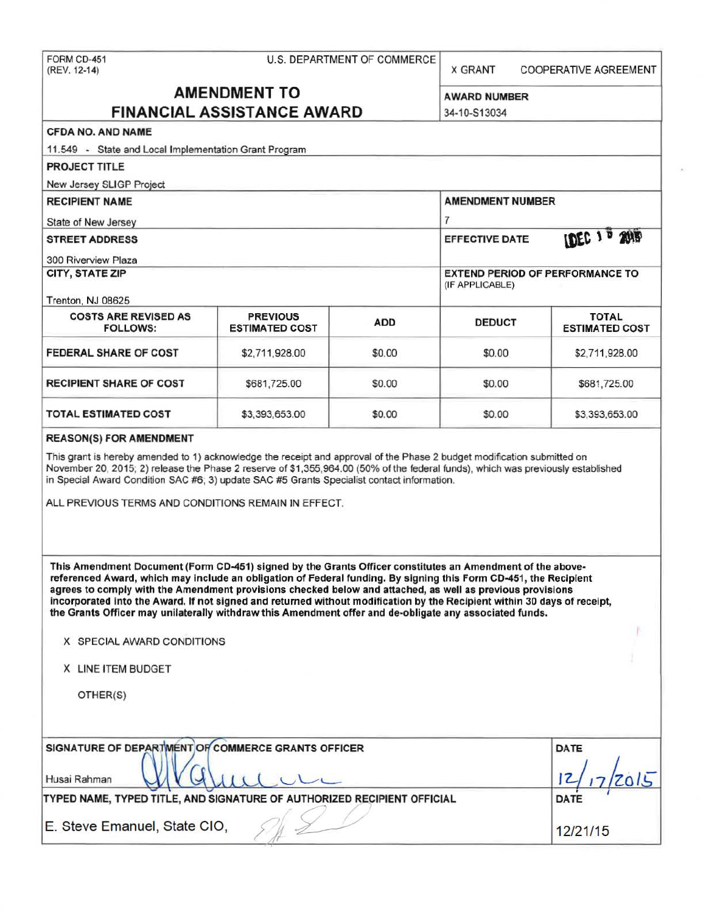X GRANT COOPERATIVE AGREEMENT

# **AMENDMENT TO** AWARD NUMBER **FINANCIAL ASSISTANCE AWARD** 34-10-S13034

| <b>CFDA NO. AND NAME</b>                                                                                                                                                                                                                                                                                                                                                                                                                                                                                                                                                          |                                          |             |                                                           |                                       |  |
|-----------------------------------------------------------------------------------------------------------------------------------------------------------------------------------------------------------------------------------------------------------------------------------------------------------------------------------------------------------------------------------------------------------------------------------------------------------------------------------------------------------------------------------------------------------------------------------|------------------------------------------|-------------|-----------------------------------------------------------|---------------------------------------|--|
| 11.549 - State and Local Implementation Grant Program                                                                                                                                                                                                                                                                                                                                                                                                                                                                                                                             |                                          |             |                                                           |                                       |  |
| <b>PROJECT TITLE</b>                                                                                                                                                                                                                                                                                                                                                                                                                                                                                                                                                              |                                          |             |                                                           |                                       |  |
| New Jersey SLIGP Project                                                                                                                                                                                                                                                                                                                                                                                                                                                                                                                                                          |                                          |             |                                                           |                                       |  |
| <b>RECIPIENT NAME</b>                                                                                                                                                                                                                                                                                                                                                                                                                                                                                                                                                             |                                          |             | <b>AMENDMENT NUMBER</b>                                   |                                       |  |
| State of New Jersey                                                                                                                                                                                                                                                                                                                                                                                                                                                                                                                                                               |                                          |             | $\overline{7}$                                            |                                       |  |
| <b>STREET ADDRESS</b>                                                                                                                                                                                                                                                                                                                                                                                                                                                                                                                                                             |                                          |             | <b>EFFECTIVE DATE</b>                                     | <b>IDEC 1 D 2015</b>                  |  |
| <b>300 Riverview Plaza</b>                                                                                                                                                                                                                                                                                                                                                                                                                                                                                                                                                        |                                          |             |                                                           |                                       |  |
| CITY, STATE ZIP                                                                                                                                                                                                                                                                                                                                                                                                                                                                                                                                                                   |                                          |             | <b>EXTEND PERIOD OF PERFORMANCE TO</b><br>(IF APPLICABLE) |                                       |  |
| Trenton, NJ 08625                                                                                                                                                                                                                                                                                                                                                                                                                                                                                                                                                                 |                                          |             |                                                           |                                       |  |
| <b>COSTS ARE REVISED AS</b><br><b>FOLLOWS:</b>                                                                                                                                                                                                                                                                                                                                                                                                                                                                                                                                    | <b>PREVIOUS</b><br><b>ESTIMATED COST</b> | <b>ADD</b>  | <b>DEDUCT</b>                                             | <b>TOTAL</b><br><b>ESTIMATED COST</b> |  |
| <b>FEDERAL SHARE OF COST</b>                                                                                                                                                                                                                                                                                                                                                                                                                                                                                                                                                      | \$2,711,928.00                           | \$0.00      | \$0.00                                                    | \$2,711,928.00                        |  |
| <b>RECIPIENT SHARE OF COST</b>                                                                                                                                                                                                                                                                                                                                                                                                                                                                                                                                                    | \$681,725.00                             | \$0.00      | \$0.00                                                    | \$681,725.00                          |  |
| <b>TOTAL ESTIMATED COST</b>                                                                                                                                                                                                                                                                                                                                                                                                                                                                                                                                                       | \$3,393,653.00                           | \$0.00      | \$0.00                                                    | \$3,393,653.00                        |  |
| November 20, 2015; 2) release the Phase 2 reserve of \$1,355,964.00 (50% of the federal funds), which was previously established<br>in Special Award Condition SAC #6; 3) update SAC #5 Grants Specialist contact information.<br>ALL PREVIOUS TERMS AND CONDITIONS REMAIN IN EFFECT.                                                                                                                                                                                                                                                                                             |                                          |             |                                                           |                                       |  |
| This Amendment Document (Form CD-451) signed by the Grants Officer constitutes an Amendment of the above-<br>referenced Award, which may include an obligation of Federal funding. By signing this Form CD-451, the Recipient<br>agrees to comply with the Amendment provisions checked below and attached, as well as previous provisions<br>incorporated into the Award. If not signed and returned without modification by the Recipient within 30 days of receipt,<br>the Grants Officer may unilaterally withdraw this Amendment offer and de-obligate any associated funds. |                                          |             |                                                           |                                       |  |
| X SPECIAL AWARD CONDITIONS                                                                                                                                                                                                                                                                                                                                                                                                                                                                                                                                                        |                                          |             |                                                           |                                       |  |
| X LINE ITEM BUDGET                                                                                                                                                                                                                                                                                                                                                                                                                                                                                                                                                                |                                          |             |                                                           |                                       |  |
| OTHER(S)                                                                                                                                                                                                                                                                                                                                                                                                                                                                                                                                                                          |                                          |             |                                                           |                                       |  |
| SIGNATURE OF DEPARTMENT OF COMMERCE GRANTS OFFICER<br>Husai Rahman                                                                                                                                                                                                                                                                                                                                                                                                                                                                                                                |                                          | <b>DATE</b> |                                                           |                                       |  |
| TYPED NAME, TYPED TITLE, AND SIGNATURE OF AUTHORIZED RECIPIENT OFFICIAL                                                                                                                                                                                                                                                                                                                                                                                                                                                                                                           | <b>DATE</b>                              |             |                                                           |                                       |  |
| E. Steve Emanuel, State CIO,                                                                                                                                                                                                                                                                                                                                                                                                                                                                                                                                                      |                                          |             |                                                           | 12/21/15                              |  |